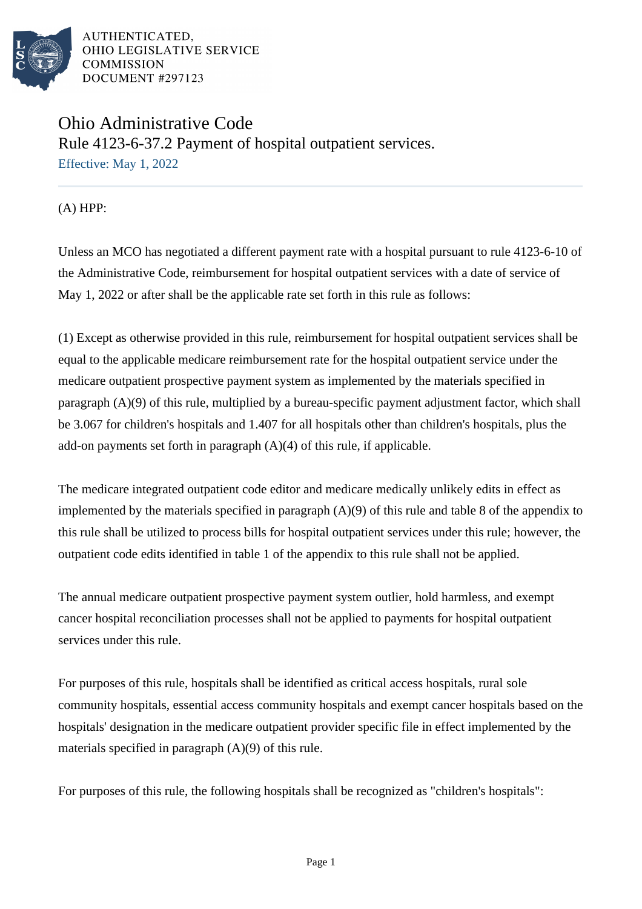

## Ohio Administrative Code Rule 4123-6-37.2 Payment of hospital outpatient services. Effective: May 1, 2022

(A) HPP:

Unless an MCO has negotiated a different payment rate with a hospital pursuant to rule 4123-6-10 of the Administrative Code, reimbursement for hospital outpatient services with a date of service of May 1, 2022 or after shall be the applicable rate set forth in this rule as follows:

(1) Except as otherwise provided in this rule, reimbursement for hospital outpatient services shall be equal to the applicable medicare reimbursement rate for the hospital outpatient service under the medicare outpatient prospective payment system as implemented by the materials specified in paragraph (A)(9) of this rule, multiplied by a bureau-specific payment adjustment factor, which shall be 3.067 for children's hospitals and 1.407 for all hospitals other than children's hospitals, plus the add-on payments set forth in paragraph (A)(4) of this rule, if applicable.

The medicare integrated outpatient code editor and medicare medically unlikely edits in effect as implemented by the materials specified in paragraph (A)(9) of this rule and table 8 of the appendix to this rule shall be utilized to process bills for hospital outpatient services under this rule; however, the outpatient code edits identified in table 1 of the appendix to this rule shall not be applied.

The annual medicare outpatient prospective payment system outlier, hold harmless, and exempt cancer hospital reconciliation processes shall not be applied to payments for hospital outpatient services under this rule.

For purposes of this rule, hospitals shall be identified as critical access hospitals, rural sole community hospitals, essential access community hospitals and exempt cancer hospitals based on the hospitals' designation in the medicare outpatient provider specific file in effect implemented by the materials specified in paragraph (A)(9) of this rule.

For purposes of this rule, the following hospitals shall be recognized as "children's hospitals":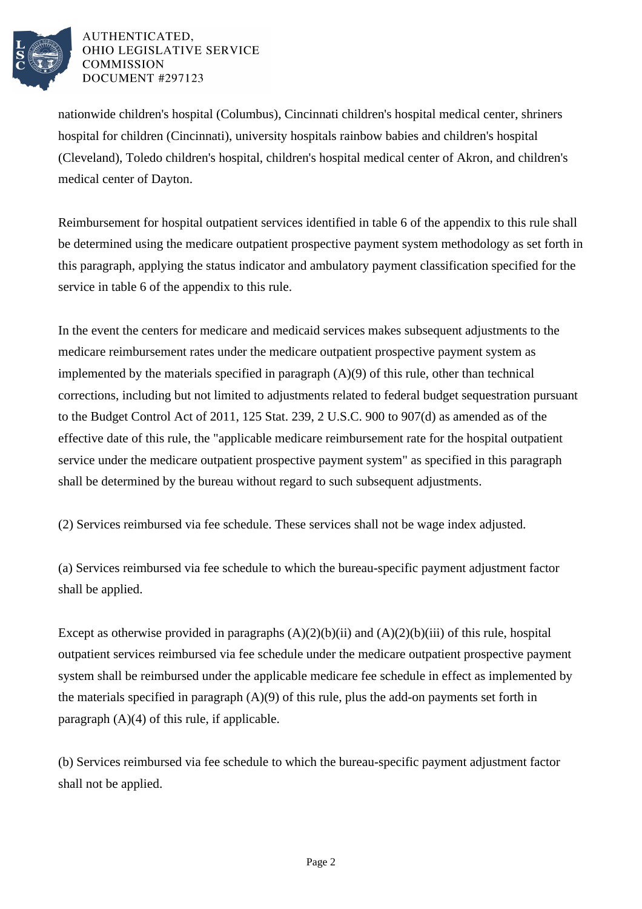

nationwide children's hospital (Columbus), Cincinnati children's hospital medical center, shriners hospital for children (Cincinnati), university hospitals rainbow babies and children's hospital (Cleveland), Toledo children's hospital, children's hospital medical center of Akron, and children's medical center of Dayton.

Reimbursement for hospital outpatient services identified in table 6 of the appendix to this rule shall be determined using the medicare outpatient prospective payment system methodology as set forth in this paragraph, applying the status indicator and ambulatory payment classification specified for the service in table 6 of the appendix to this rule.

In the event the centers for medicare and medicaid services makes subsequent adjustments to the medicare reimbursement rates under the medicare outpatient prospective payment system as implemented by the materials specified in paragraph (A)(9) of this rule, other than technical corrections, including but not limited to adjustments related to federal budget sequestration pursuant to the Budget Control Act of 2011, 125 Stat. 239, 2 U.S.C. 900 to 907(d) as amended as of the effective date of this rule, the "applicable medicare reimbursement rate for the hospital outpatient service under the medicare outpatient prospective payment system" as specified in this paragraph shall be determined by the bureau without regard to such subsequent adjustments.

(2) Services reimbursed via fee schedule. These services shall not be wage index adjusted.

(a) Services reimbursed via fee schedule to which the bureau-specific payment adjustment factor shall be applied.

Except as otherwise provided in paragraphs  $(A)(2)(b)(ii)$  and  $(A)(2)(b)(iii)$  of this rule, hospital outpatient services reimbursed via fee schedule under the medicare outpatient prospective payment system shall be reimbursed under the applicable medicare fee schedule in effect as implemented by the materials specified in paragraph (A)(9) of this rule, plus the add-on payments set forth in paragraph (A)(4) of this rule, if applicable.

(b) Services reimbursed via fee schedule to which the bureau-specific payment adjustment factor shall not be applied.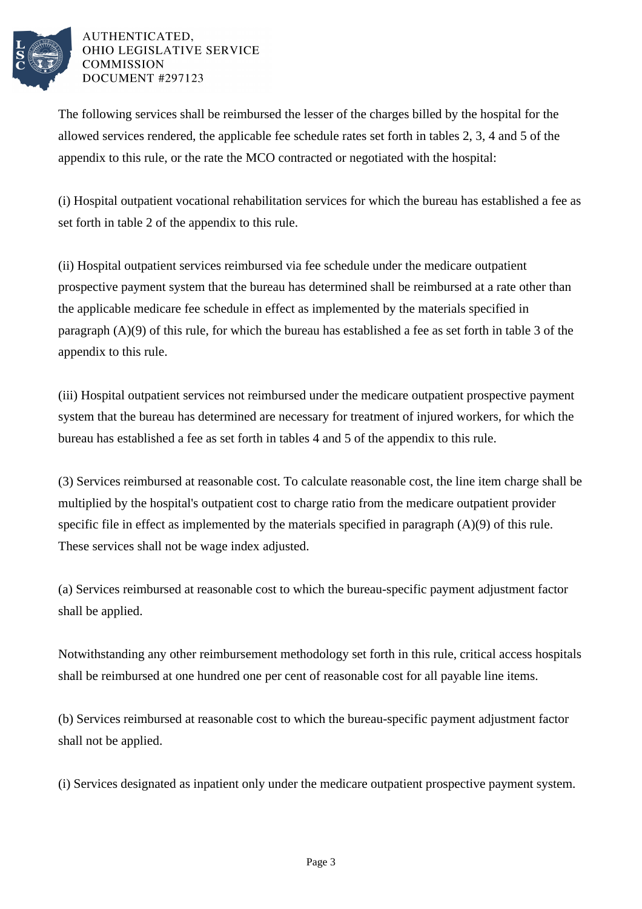

The following services shall be reimbursed the lesser of the charges billed by the hospital for the allowed services rendered, the applicable fee schedule rates set forth in tables 2, 3, 4 and 5 of the appendix to this rule, or the rate the MCO contracted or negotiated with the hospital:

(i) Hospital outpatient vocational rehabilitation services for which the bureau has established a fee as set forth in table 2 of the appendix to this rule.

(ii) Hospital outpatient services reimbursed via fee schedule under the medicare outpatient prospective payment system that the bureau has determined shall be reimbursed at a rate other than the applicable medicare fee schedule in effect as implemented by the materials specified in paragraph (A)(9) of this rule, for which the bureau has established a fee as set forth in table 3 of the appendix to this rule.

(iii) Hospital outpatient services not reimbursed under the medicare outpatient prospective payment system that the bureau has determined are necessary for treatment of injured workers, for which the bureau has established a fee as set forth in tables 4 and 5 of the appendix to this rule.

(3) Services reimbursed at reasonable cost. To calculate reasonable cost, the line item charge shall be multiplied by the hospital's outpatient cost to charge ratio from the medicare outpatient provider specific file in effect as implemented by the materials specified in paragraph (A)(9) of this rule. These services shall not be wage index adjusted.

(a) Services reimbursed at reasonable cost to which the bureau-specific payment adjustment factor shall be applied.

Notwithstanding any other reimbursement methodology set forth in this rule, critical access hospitals shall be reimbursed at one hundred one per cent of reasonable cost for all payable line items.

(b) Services reimbursed at reasonable cost to which the bureau-specific payment adjustment factor shall not be applied.

(i) Services designated as inpatient only under the medicare outpatient prospective payment system.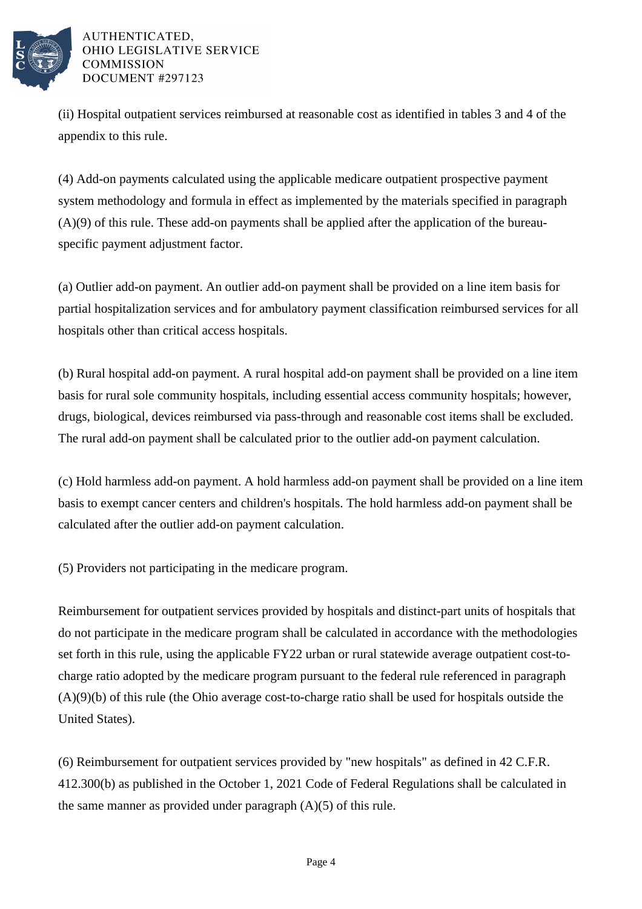

(ii) Hospital outpatient services reimbursed at reasonable cost as identified in tables 3 and 4 of the appendix to this rule.

(4) Add-on payments calculated using the applicable medicare outpatient prospective payment system methodology and formula in effect as implemented by the materials specified in paragraph (A)(9) of this rule. These add-on payments shall be applied after the application of the bureauspecific payment adjustment factor.

(a) Outlier add-on payment. An outlier add-on payment shall be provided on a line item basis for partial hospitalization services and for ambulatory payment classification reimbursed services for all hospitals other than critical access hospitals.

(b) Rural hospital add-on payment. A rural hospital add-on payment shall be provided on a line item basis for rural sole community hospitals, including essential access community hospitals; however, drugs, biological, devices reimbursed via pass-through and reasonable cost items shall be excluded. The rural add-on payment shall be calculated prior to the outlier add-on payment calculation.

(c) Hold harmless add-on payment. A hold harmless add-on payment shall be provided on a line item basis to exempt cancer centers and children's hospitals. The hold harmless add-on payment shall be calculated after the outlier add-on payment calculation.

(5) Providers not participating in the medicare program.

Reimbursement for outpatient services provided by hospitals and distinct-part units of hospitals that do not participate in the medicare program shall be calculated in accordance with the methodologies set forth in this rule, using the applicable FY22 urban or rural statewide average outpatient cost-tocharge ratio adopted by the medicare program pursuant to the federal rule referenced in paragraph (A)(9)(b) of this rule (the Ohio average cost-to-charge ratio shall be used for hospitals outside the United States).

(6) Reimbursement for outpatient services provided by "new hospitals" as defined in 42 C.F.R. 412.300(b) as published in the October 1, 2021 Code of Federal Regulations shall be calculated in the same manner as provided under paragraph (A)(5) of this rule.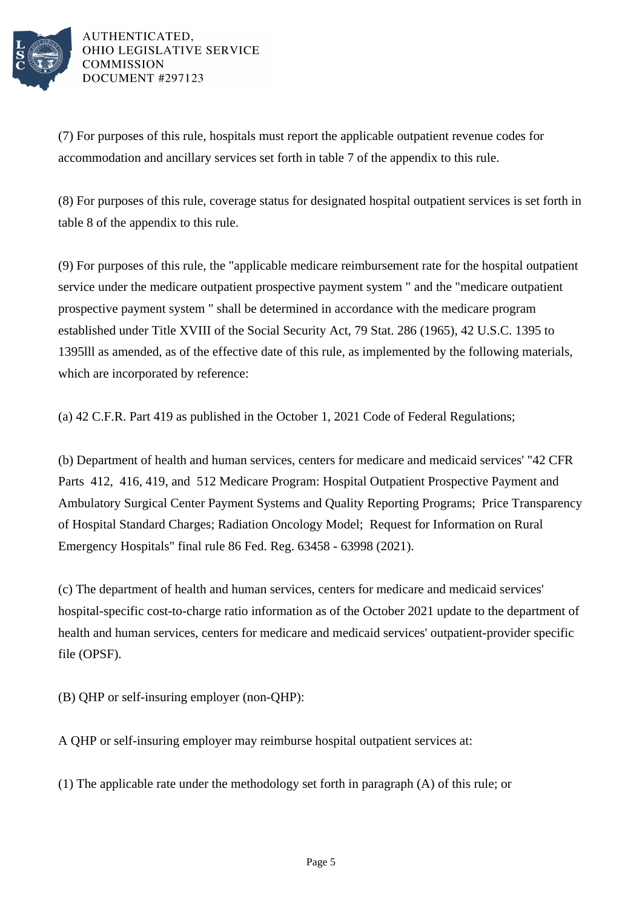

(7) For purposes of this rule, hospitals must report the applicable outpatient revenue codes for accommodation and ancillary services set forth in table 7 of the appendix to this rule.

(8) For purposes of this rule, coverage status for designated hospital outpatient services is set forth in table 8 of the appendix to this rule.

(9) For purposes of this rule, the "applicable medicare reimbursement rate for the hospital outpatient service under the medicare outpatient prospective payment system " and the "medicare outpatient prospective payment system " shall be determined in accordance with the medicare program established under Title XVIII of the Social Security Act, 79 Stat. 286 (1965), 42 U.S.C. 1395 to 1395lll as amended, as of the effective date of this rule, as implemented by the following materials, which are incorporated by reference:

(a) 42 C.F.R. Part 419 as published in the October 1, 2021 Code of Federal Regulations;

(b) Department of health and human services, centers for medicare and medicaid services' "42 CFR Parts 412, 416, 419, and 512 Medicare Program: Hospital Outpatient Prospective Payment and Ambulatory Surgical Center Payment Systems and Quality Reporting Programs; Price Transparency of Hospital Standard Charges; Radiation Oncology Model; Request for Information on Rural Emergency Hospitals" final rule 86 Fed. Reg. 63458 - 63998 (2021).

(c) The department of health and human services, centers for medicare and medicaid services' hospital-specific cost-to-charge ratio information as of the October 2021 update to the department of health and human services, centers for medicare and medicaid services' outpatient-provider specific file (OPSF).

(B) QHP or self-insuring employer (non-QHP):

A QHP or self-insuring employer may reimburse hospital outpatient services at:

(1) The applicable rate under the methodology set forth in paragraph (A) of this rule; or